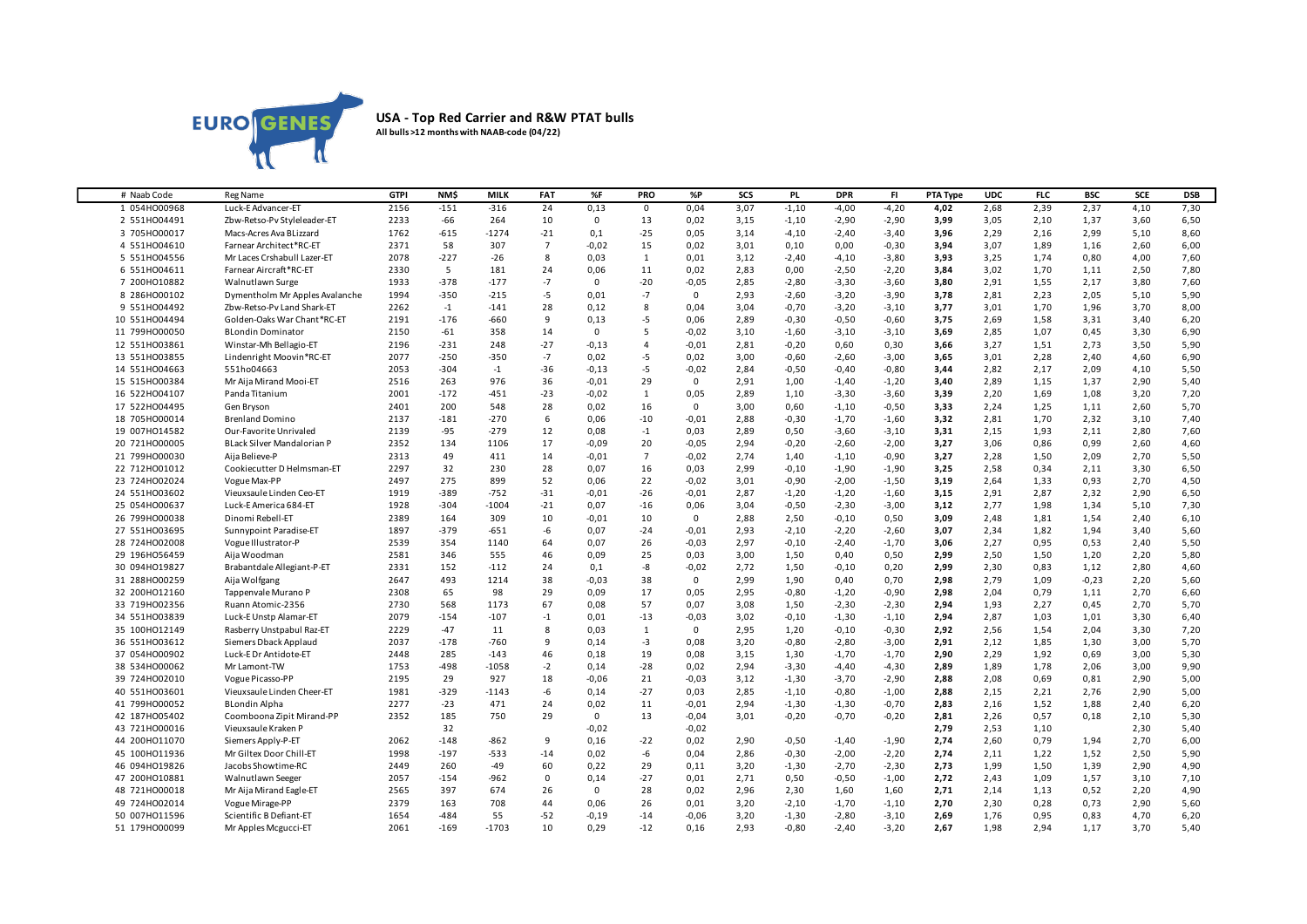

## **USA - Top Red Carrier and R&W PTAT bulls All bulls >12 months with NAAB-code (04/22)**

| 2156<br>0,13<br>3,07<br>2,39<br>2,37<br>7,30<br>1 054HO00968<br>Luck-E Advancer-ET<br>$-151$<br>$-316$<br>24<br>0,04<br>$-1,10$<br>$-4,00$<br>$-4,20$<br>4,02<br>2,68<br>4,10<br>$\mathbf{0}$<br>$-66$<br>0,02<br>$-2,90$<br>$-2,90$<br>3,05<br>1,37<br>2 551H004491<br>Zbw-Retso-Pv Styleleader-ET<br>2233<br>264<br>10<br>0<br>13<br>3,15<br>$-1,10$<br>3,99<br>2,10<br>3,60<br>6,50<br>$-1274$<br>$-25$<br>1762<br>$-615$<br>$-21$<br>0,1<br>0,05<br>3,14<br>$-2,40$<br>$-3,40$<br>3,96<br>2,29<br>2,16<br>2,99<br>5,10<br>8,60<br>3 705HO00017<br>Macs-Acres Ava BLizzard<br>$-4,10$<br>2371<br>58<br>307<br>$\overline{7}$<br>$-0,02$<br>15<br>0,02<br>3,01<br>0,00<br>$-0,30$<br>3,07<br>1,89<br>2,60<br>6,00<br>4 551H004610<br>Farnear Architect*RC-ET<br>0,10<br>3,94<br>1,16<br>2078<br>$-227$<br>$-26$<br>8<br>0,03<br>0,01<br>3,12<br>$-2,40$<br>$-3,80$<br>3,93<br>3,25<br>1,74<br>0,80<br>4,00<br>5 551H004556<br>Mr Laces Crshabull Lazer-ET<br>$\mathbf{1}$<br>$-4,10$<br>7,60<br>5<br>181<br>24<br>11<br>0,02<br>2,83<br>$-2,50$<br>$-2,20$<br>1,70<br>2,50<br>6 551H004611<br>Farnear Aircraft*RC-ET<br>2330<br>0,06<br>0,00<br>3,84<br>3,02<br>1,11<br>7,80<br>1933<br>$-378$<br>$-177$<br>$-7$<br>$-20$<br>$-0,05$<br>2,85<br>7 200HO10882<br>$\mathbf 0$<br>$-2,80$<br>$-3,30$<br>$-3,60$<br>3.80<br>2,91<br>1,55<br>2,17<br>3,80<br>7,60<br>Walnutlawn Surge<br>$-5$<br>2,93<br>2,23<br>8 286HO00102<br>Dymentholm Mr Apples Avalanche<br>1994<br>$-350$<br>$-215$<br>0,01<br>$-7$<br>$\mathbf 0$<br>$-2,60$<br>$-3,20$<br>$-3,90$<br>3,78<br>2,81<br>2,05<br>5,10<br>5,90<br>28<br>9 551HO04492<br>Zbw-Retso-Pv Land Shark-ET<br>2262<br>$-1$<br>$-141$<br>0,12<br>8<br>0,04<br>3,04<br>$-0,70$<br>$-3,20$<br>$-3,10$<br>3,77<br>3,01<br>1,70<br>1,96<br>3,70<br>8,00<br>$-176$<br>$-660$<br>9<br>-5<br>2,89<br>$-0,50$<br>$-0,60$<br>3,75<br>2,69<br>1,58<br>3,40<br>10 551H004494<br>Golden-Oaks War Chant*RC-ET<br>2191<br>0,13<br>0,06<br>$-0,30$<br>3,31<br>6,20<br>11 799H000050<br><b>BLondin Dominator</b><br>2150<br>$-61$<br>358<br>14<br>0<br>5<br>$-0,02$<br>3,10<br>$-1,60$<br>$-3,10$<br>$-3,10$<br>3,69<br>2,85<br>1,07<br>0,45<br>3,30<br>6,90<br>2196<br>$-231$<br>248<br>$-27$<br>$-0,13$<br>$-0,01$<br>$-0,20$<br>0,30<br>3,66<br>3,27<br>1,51<br>2,73<br>3,50<br>12 551H003861<br>Winstar-Mh Bellagio-ET<br>4<br>2,81<br>0,60<br>5,90<br>$-250$<br>$-350$<br>$-7$<br>-5<br>2,28<br>2,40<br>4,60<br>13 551H003855<br>Lindenright Moovin*RC-ET<br>2077<br>0,02<br>0,02<br>3,00<br>$-0,60$<br>$-2,60$<br>$-3,00$<br>3,65<br>3,01<br>6,90<br>2053<br>$-304$<br>$-36$<br>$-0,13$<br>-5<br>$-0,02$<br>2,84<br>$-0,50$<br>$-0,40$<br>$-0,80$<br>3,44<br>2,82<br>2,17<br>2,09<br>4,10<br>5,50<br>14 551H004663<br>551ho04663<br>$-1$<br>36<br>29<br>2,90<br>15 515HO00384<br>Mr Aija Mirand Mooi-ET<br>2516<br>263<br>976<br>$-0,01$<br>0<br>2,91<br>1,00<br>$-1,40$<br>$-1,20$<br>3,40<br>2,89<br>1,15<br>1,37<br>5,40<br>Panda Titanium<br>2001<br>$-172$<br>$-451$<br>$-23$<br>$-0,02$<br>2,89<br>$-3,30$<br>$-3,60$<br>3.39<br>2,20<br>1,69<br>1,08<br>3,20<br>16 522HO04107<br>1<br>0,05<br>1,10<br>7,20<br>2401<br>200<br>548<br>28<br>16<br>3,00<br>0,60<br>$-0,50$<br>3,33<br>2,24<br>1,25<br>2,60<br>17 522HO04495<br>Gen Bryson<br>0,02<br>$^{\circ}$<br>$-1,10$<br>1,11<br>5,70<br>$-270$<br>18 705H000014<br>2137<br>$-181$<br>6<br>0,06<br>$-10$<br>$-0,01$<br>2,88<br>$-0,30$<br>$-1,70$<br>$-1,60$<br>3,32<br>2,81<br>1,70<br>2,32<br>3,10<br>7,40<br><b>Brenland Domino</b><br>2139<br>$-95$<br>$-279$<br>12<br>0,08<br>$-1$<br>0,03<br>2,89<br>0,50<br>$-3,60$<br>$-3,10$<br>3.31<br>2,15<br>1,93<br>2,11<br>2,80<br>7,60<br>19 007HO14582<br>Our-Favorite Unrivaled<br>17<br>20<br>2,94<br>$-0,20$<br>$-2,00$<br>3,27<br>3,06<br>0,86<br>0,99<br>2,60<br>20 721H000005<br>BLack Silver Mandalorian P<br>2352<br>134<br>1106<br>$-0,09$<br>$-0,05$<br>$-2,60$<br>4,60<br>2313<br>49<br>411<br>14<br>$\overline{7}$<br>$-0,02$<br>2,74<br>$-0,90$<br>3,27<br>2,28<br>1,50<br>2,09<br>2,70<br>5,50<br>21 799H000030<br>Aija Believe-P<br>$-0,01$<br>1,40<br>$-1,10$<br>32<br>28<br>16<br>2,99<br>$-1,90$<br>2,58<br>0,34<br>3,30<br>22 712H001012<br>2297<br>230<br>0,07<br>0,03<br>$-0,10$<br>$-1,90$<br>3,25<br>2,11<br>6,50<br>Cookiecutter D Helmsman-ET<br>2497<br>275<br>899<br>52<br>22<br>2,70<br>0,06<br>$-0.02$<br>3,01<br>$-0,90$<br>$-2,00$<br>$-1,50$<br>3,19<br>2,64<br>1,33<br>0.93<br>4,50<br>23 724H002024<br>Vogue Max-PP<br>1919<br>$-389$<br>$-752$<br>$-31$<br>$-26$<br>$-0,01$<br>2,87<br>$-1,60$<br>2,91<br>2,87<br>2,32<br>2,90<br>6,50<br>24 551H003602<br>Vieuxsaule Linden Ceo-ET<br>$-0,01$<br>$-1,20$<br>$-1,20$<br>3,15<br>25 054H000637<br>Luck-E America 684-ET<br>1928<br>$-304$<br>$-1004$<br>$-21$<br>0,07<br>$-16$<br>0,06<br>3,04<br>$-0,50$<br>$-2,30$<br>$-3,00$<br>3,12<br>2,77<br>1,98<br>1,34<br>5,10<br>7,30<br>2389<br>164<br>309<br>10<br>$-0,01$<br>10<br>$\mathbf 0$<br>2,88<br>2,50<br>$-0,10$<br>0,50<br>3,09<br>2,48<br>1,81<br>1,54<br>2,40<br>6,10<br>26 799H000038<br>Dinomi Rebell-ET<br>$-379$<br>-6<br>$-2,60$<br>1,82<br>27 551H003695<br>Sunnypoint Paradise-ET<br>1897<br>$-651$<br>0,07<br>$-24$<br>$-0,01$<br>2,93<br>$-2,10$<br>$-2,20$<br>3,07<br>2,34<br>1,94<br>3,40<br>5,60<br>354<br>64<br>26<br>$-0,03$<br>2,97<br>$-1,70$<br>2,27<br>0,95<br>0,53<br>2,40<br>28 724H002008<br>Vogue Illustrator-P<br>2539<br>1140<br>0,07<br>$-0,10$<br>$-2,40$<br>3,06<br>5,50<br>46<br>25<br>2,99<br>2,50<br>1,50<br>29 196H056459<br>Aija Woodman<br>2581<br>346<br>555<br>0,09<br>0,03<br>3,00<br>1,50<br>0,40<br>0,50<br>1,20<br>2,20<br>5,80<br>30 094H019827<br>Brabantdale Allegiant-P-ET<br>2331<br>152<br>$-112$<br>24<br>-8<br>$-0,02$<br>2,72<br>1,50<br>$-0,10$<br>0,20<br>2,99<br>2,30<br>0,83<br>1,12<br>2,80<br>4,60<br>0,1<br>493<br>1214<br>38<br>0,70<br>$-0,23$<br>31 288HO00259<br>Aija Wolfgang<br>2647<br>$-0,03$<br>38<br>$^{\circ}$<br>2,99<br>1,90<br>0,40<br>2,98<br>2,79<br>1,09<br>2,20<br>5,60<br>65<br>98<br>2308<br>29<br>0,09<br>17<br>0,05<br>2,95<br>$-0,80$<br>$-1,20$<br>$-0,90$<br>2,98<br>2,04<br>0,79<br>1,11<br>2,70<br>6,60<br>32 200HO12160<br>Tappenvale Murano P<br>568<br>1173<br>67<br>57<br>0,07<br>3,08<br>$-2,30$<br>$-2,30$<br>2,27<br>2,70<br>33 719H002356<br>Ruann Atomic-2356<br>2730<br>0,08<br>1,50<br>2,94<br>1,93<br>0,45<br>5,70<br>Luck-E Unstp Alamar-ET<br>2079<br>$-154$<br>$-107$<br>$^{\mbox{{\small -1}}}$<br>0,01<br>$-13$<br>$-0,03$<br>3,02<br>$-0,10$<br>$-1,30$<br>$-1,10$<br>2,94<br>2,87<br>1,03<br>1,01<br>3,30<br>6,40<br>34 551H003839<br>$-47$<br>8<br>$\mathbf 0$<br>2,95<br>$-0,30$<br>2,56<br>1,54<br>2,04<br>3,30<br>35 100HO12149<br>Rasberry Unstpabul Raz-ET<br>2229<br>11<br>0,03<br>$\mathbf{1}$<br>1,20<br>$-0,10$<br>2,92<br>7,20<br>$-760$<br>9<br>1,85<br>36 551H003612<br>Siemers Dback Applaud<br>2037<br>$-178$<br>0,14<br>-3<br>0,08<br>3,20<br>$-0,80$<br>$-2,80$<br>$-3,00$<br>2,91<br>2,12<br>1,30<br>3,00<br>5,70<br>46<br>2448<br>285<br>$-143$<br>19<br>0,08<br>3,15<br>1,30<br>$-1,70$<br>$-1,70$<br>2,90<br>2,29<br>1,92<br>0,69<br>3,00<br>5,30<br>37 054H000902<br>Luck-E Dr Antidote-ET<br>0,18<br>$-2$<br>$-28$<br>38 534H000062<br>1753<br>$-498$<br>$-1058$<br>0,02<br>2,94<br>$-3,30$<br>$-4,40$<br>$-4,30$<br>2,89<br>1,89<br>1,78<br>2,06<br>3,00<br>9,90<br>Mr Lamont-TW<br>0,14<br>39 724H002010<br>2195<br>29<br>927<br>18<br>$-0,06$<br>21<br>$-0,03$<br>3,12<br>$-1,30$<br>$-3,70$<br>$-2,90$<br>2,88<br>2,08<br>0,69<br>0,81<br>2,90<br>5,00<br>Vogue Picasso-PP<br>$-6$<br>$-329$<br>$-27$<br>2,85<br>2,76<br>2,90<br>40 551H003601<br>Vieuxsaule Linden Cheer-ET<br>1981<br>$-1143$<br>0,14<br>0,03<br>$-1,10$<br>$-0,80$<br>$-1,00$<br>2,88<br>2,15<br>2,21<br>5,00<br>$-23$<br>2277<br>471<br>24<br>0,02<br>11<br>$-0,01$<br>2,94<br>$-1,30$<br>$-1,30$<br>$-0,70$<br>2,83<br>2,16<br>1,52<br>1,88<br>2,40<br>41 799H000052<br><b>BLondin Alpha</b><br>6,20<br>2352<br>185<br>750<br>29<br>$\mathbf 0$<br>13<br>$-0,04$<br>3,01<br>$-0,20$<br>$-0,70$<br>$-0,20$<br>2,81<br>2,26<br>0,57<br>0,18<br>2,10<br>5,30<br>42 187H005402<br>Coomboona Zipit Mirand-PP<br>32<br>43 721H000016<br>Vieuxsaule Kraken P<br>$-0,02$<br>$-0,02$<br>2,79<br>2,53<br>1,10<br>2,30<br>5,40<br>$-148$<br>$-862$<br>9<br>0,16<br>$-22$<br>0,02<br>$-1,90$<br>2,74<br>2,60<br>0,79<br>2,70<br>44 200HO11070<br>Siemers Apply-P-ET<br>2062<br>2,90<br>$-0,50$<br>$-1,40$<br>1,94<br>6,00<br>1998<br>$-197$<br>$-533$<br>0,02<br>-6<br>0,04<br>2,86<br>$-0,30$<br>$-2,00$<br>$-2,20$<br>2,74<br>1,22<br>1,52<br>2,50<br>45 100HO11936<br>Mr Giltex Door Chill-ET<br>$-14$<br>2,11<br>5,90<br>Jacobs Showtime-RC<br>2449<br>260<br>-49<br>60<br>0,22<br>29<br>3,20<br>$-1,30$<br>$-2,70$<br>$-2,30$<br>2,73<br>1,99<br>1,50<br>1,39<br>2,90<br>46 094H019826<br>0,11 | # Naab Code | Reg Name | <b>GTPI</b> | NM\$ | MILK | FAT | %F | <b>PRO</b> | %P | SCS | PL. | <b>DPR</b> | FI. | PTA Type | <b>UDC</b> | <b>FLC</b> | <b>BSC</b> | SCE | <b>DSB</b> |
|---------------------------------------------------------------------------------------------------------------------------------------------------------------------------------------------------------------------------------------------------------------------------------------------------------------------------------------------------------------------------------------------------------------------------------------------------------------------------------------------------------------------------------------------------------------------------------------------------------------------------------------------------------------------------------------------------------------------------------------------------------------------------------------------------------------------------------------------------------------------------------------------------------------------------------------------------------------------------------------------------------------------------------------------------------------------------------------------------------------------------------------------------------------------------------------------------------------------------------------------------------------------------------------------------------------------------------------------------------------------------------------------------------------------------------------------------------------------------------------------------------------------------------------------------------------------------------------------------------------------------------------------------------------------------------------------------------------------------------------------------------------------------------------------------------------------------------------------------------------------------------------------------------------------------------------------------------------------------------------------------------------------------------------------------------------------------------------------------------------------------------------------------------------------------------------------------------------------------------------------------------------------------------------------------------------------------------------------------------------------------------------------------------------------------------------------------------------------------------------------------------------------------------------------------------------------------------------------------------------------------------------------------------------------------------------------------------------------------------------------------------------------------------------------------------------------------------------------------------------------------------------------------------------------------------------------------------------------------------------------------------------------------------------------------------------------------------------------------------------------------------------------------------------------------------------------------------------------------------------------------------------------------------------------------------------------------------------------------------------------------------------------------------------------------------------------------------------------------------------------------------------------------------------------------------------------------------------------------------------------------------------------------------------------------------------------------------------------------------------------------------------------------------------------------------------------------------------------------------------------------------------------------------------------------------------------------------------------------------------------------------------------------------------------------------------------------------------------------------------------------------------------------------------------------------------------------------------------------------------------------------------------------------------------------------------------------------------------------------------------------------------------------------------------------------------------------------------------------------------------------------------------------------------------------------------------------------------------------------------------------------------------------------------------------------------------------------------------------------------------------------------------------------------------------------------------------------------------------------------------------------------------------------------------------------------------------------------------------------------------------------------------------------------------------------------------------------------------------------------------------------------------------------------------------------------------------------------------------------------------------------------------------------------------------------------------------------------------------------------------------------------------------------------------------------------------------------------------------------------------------------------------------------------------------------------------------------------------------------------------------------------------------------------------------------------------------------------------------------------------------------------------------------------------------------------------------------------------------------------------------------------------------------------------------------------------------------------------------------------------------------------------------------------------------------------------------------------------------------------------------------------------------------------------------------------------------------------------------------------------------------------------------------------------------------------------------------------------------------------------------------------------------------------------------------------------------------------------------------------------------------------------------------------------------------------------------------------------------------------------------------------------------------------------------------------------------------------------------------------------------------------------------------------------------------------------------------------------------------------------------------------------------------------------------------------------------------------------------------------------------------------------------------------------------------------------------------------------------------------------------------------------------------------------------------------------------------------------------------------------------------------------------------------------------------------------------------------------------------------------------------------------------------------------------------------------------------------------------------------------------------------------------------------------------------------------------------------------------------------------------------------------------------------------------------------------------------------------------------------------------------------------------------------------------------------------------------------------------------------------------------------------------------------------------------------------------------------------------------------------------------------------------------------------------------------------------------------------------------------------------------------------------------------------------------------------------------------------------------------------------------------------------------------------------------------------------------------------------------------------------------------------------------------------------------------------------------------------------------------------------------------------------------------------------------------------------------------------------------------------------------------------------------------------------------------------------------------------------------------------------------------------------------------------------------------------------------------------------------------------------------|-------------|----------|-------------|------|------|-----|----|------------|----|-----|-----|------------|-----|----------|------------|------------|------------|-----|------------|
|                                                                                                                                                                                                                                                                                                                                                                                                                                                                                                                                                                                                                                                                                                                                                                                                                                                                                                                                                                                                                                                                                                                                                                                                                                                                                                                                                                                                                                                                                                                                                                                                                                                                                                                                                                                                                                                                                                                                                                                                                                                                                                                                                                                                                                                                                                                                                                                                                                                                                                                                                                                                                                                                                                                                                                                                                                                                                                                                                                                                                                                                                                                                                                                                                                                                                                                                                                                                                                                                                                                                                                                                                                                                                                                                                                                                                                                                                                                                                                                                                                                                                                                                                                                                                                                                                                                                                                                                                                                                                                                                                                                                                                                                                                                                                                                                                                                                                                                                                                                                                                                                                                                                                                                                                                                                                                                                                                                                                                                                                                                                                                                                                                                                                                                                                                                                                                                                                                                                                                                                                                                                                                                                                                                                                                                                                                                                                                                                                                                                                                                                                                                                                                                                                                                                                                                                                                                                                                                                                                                                                                                                                                                                                                                                                                                                                                                                                                                                                                                                                                                                                                                                                                                                                                                                                                                                                                                                                                                                                                                                                                                                                                                                                                                                                                                                                                                                                                                                                                                                                                                                                                                                                                                                                                                                                                                                                                                                                 |             |          |             |      |      |     |    |            |    |     |     |            |     |          |            |            |            |     |            |
|                                                                                                                                                                                                                                                                                                                                                                                                                                                                                                                                                                                                                                                                                                                                                                                                                                                                                                                                                                                                                                                                                                                                                                                                                                                                                                                                                                                                                                                                                                                                                                                                                                                                                                                                                                                                                                                                                                                                                                                                                                                                                                                                                                                                                                                                                                                                                                                                                                                                                                                                                                                                                                                                                                                                                                                                                                                                                                                                                                                                                                                                                                                                                                                                                                                                                                                                                                                                                                                                                                                                                                                                                                                                                                                                                                                                                                                                                                                                                                                                                                                                                                                                                                                                                                                                                                                                                                                                                                                                                                                                                                                                                                                                                                                                                                                                                                                                                                                                                                                                                                                                                                                                                                                                                                                                                                                                                                                                                                                                                                                                                                                                                                                                                                                                                                                                                                                                                                                                                                                                                                                                                                                                                                                                                                                                                                                                                                                                                                                                                                                                                                                                                                                                                                                                                                                                                                                                                                                                                                                                                                                                                                                                                                                                                                                                                                                                                                                                                                                                                                                                                                                                                                                                                                                                                                                                                                                                                                                                                                                                                                                                                                                                                                                                                                                                                                                                                                                                                                                                                                                                                                                                                                                                                                                                                                                                                                                                                 |             |          |             |      |      |     |    |            |    |     |     |            |     |          |            |            |            |     |            |
|                                                                                                                                                                                                                                                                                                                                                                                                                                                                                                                                                                                                                                                                                                                                                                                                                                                                                                                                                                                                                                                                                                                                                                                                                                                                                                                                                                                                                                                                                                                                                                                                                                                                                                                                                                                                                                                                                                                                                                                                                                                                                                                                                                                                                                                                                                                                                                                                                                                                                                                                                                                                                                                                                                                                                                                                                                                                                                                                                                                                                                                                                                                                                                                                                                                                                                                                                                                                                                                                                                                                                                                                                                                                                                                                                                                                                                                                                                                                                                                                                                                                                                                                                                                                                                                                                                                                                                                                                                                                                                                                                                                                                                                                                                                                                                                                                                                                                                                                                                                                                                                                                                                                                                                                                                                                                                                                                                                                                                                                                                                                                                                                                                                                                                                                                                                                                                                                                                                                                                                                                                                                                                                                                                                                                                                                                                                                                                                                                                                                                                                                                                                                                                                                                                                                                                                                                                                                                                                                                                                                                                                                                                                                                                                                                                                                                                                                                                                                                                                                                                                                                                                                                                                                                                                                                                                                                                                                                                                                                                                                                                                                                                                                                                                                                                                                                                                                                                                                                                                                                                                                                                                                                                                                                                                                                                                                                                                                                 |             |          |             |      |      |     |    |            |    |     |     |            |     |          |            |            |            |     |            |
|                                                                                                                                                                                                                                                                                                                                                                                                                                                                                                                                                                                                                                                                                                                                                                                                                                                                                                                                                                                                                                                                                                                                                                                                                                                                                                                                                                                                                                                                                                                                                                                                                                                                                                                                                                                                                                                                                                                                                                                                                                                                                                                                                                                                                                                                                                                                                                                                                                                                                                                                                                                                                                                                                                                                                                                                                                                                                                                                                                                                                                                                                                                                                                                                                                                                                                                                                                                                                                                                                                                                                                                                                                                                                                                                                                                                                                                                                                                                                                                                                                                                                                                                                                                                                                                                                                                                                                                                                                                                                                                                                                                                                                                                                                                                                                                                                                                                                                                                                                                                                                                                                                                                                                                                                                                                                                                                                                                                                                                                                                                                                                                                                                                                                                                                                                                                                                                                                                                                                                                                                                                                                                                                                                                                                                                                                                                                                                                                                                                                                                                                                                                                                                                                                                                                                                                                                                                                                                                                                                                                                                                                                                                                                                                                                                                                                                                                                                                                                                                                                                                                                                                                                                                                                                                                                                                                                                                                                                                                                                                                                                                                                                                                                                                                                                                                                                                                                                                                                                                                                                                                                                                                                                                                                                                                                                                                                                                                                 |             |          |             |      |      |     |    |            |    |     |     |            |     |          |            |            |            |     |            |
|                                                                                                                                                                                                                                                                                                                                                                                                                                                                                                                                                                                                                                                                                                                                                                                                                                                                                                                                                                                                                                                                                                                                                                                                                                                                                                                                                                                                                                                                                                                                                                                                                                                                                                                                                                                                                                                                                                                                                                                                                                                                                                                                                                                                                                                                                                                                                                                                                                                                                                                                                                                                                                                                                                                                                                                                                                                                                                                                                                                                                                                                                                                                                                                                                                                                                                                                                                                                                                                                                                                                                                                                                                                                                                                                                                                                                                                                                                                                                                                                                                                                                                                                                                                                                                                                                                                                                                                                                                                                                                                                                                                                                                                                                                                                                                                                                                                                                                                                                                                                                                                                                                                                                                                                                                                                                                                                                                                                                                                                                                                                                                                                                                                                                                                                                                                                                                                                                                                                                                                                                                                                                                                                                                                                                                                                                                                                                                                                                                                                                                                                                                                                                                                                                                                                                                                                                                                                                                                                                                                                                                                                                                                                                                                                                                                                                                                                                                                                                                                                                                                                                                                                                                                                                                                                                                                                                                                                                                                                                                                                                                                                                                                                                                                                                                                                                                                                                                                                                                                                                                                                                                                                                                                                                                                                                                                                                                                                                 |             |          |             |      |      |     |    |            |    |     |     |            |     |          |            |            |            |     |            |
|                                                                                                                                                                                                                                                                                                                                                                                                                                                                                                                                                                                                                                                                                                                                                                                                                                                                                                                                                                                                                                                                                                                                                                                                                                                                                                                                                                                                                                                                                                                                                                                                                                                                                                                                                                                                                                                                                                                                                                                                                                                                                                                                                                                                                                                                                                                                                                                                                                                                                                                                                                                                                                                                                                                                                                                                                                                                                                                                                                                                                                                                                                                                                                                                                                                                                                                                                                                                                                                                                                                                                                                                                                                                                                                                                                                                                                                                                                                                                                                                                                                                                                                                                                                                                                                                                                                                                                                                                                                                                                                                                                                                                                                                                                                                                                                                                                                                                                                                                                                                                                                                                                                                                                                                                                                                                                                                                                                                                                                                                                                                                                                                                                                                                                                                                                                                                                                                                                                                                                                                                                                                                                                                                                                                                                                                                                                                                                                                                                                                                                                                                                                                                                                                                                                                                                                                                                                                                                                                                                                                                                                                                                                                                                                                                                                                                                                                                                                                                                                                                                                                                                                                                                                                                                                                                                                                                                                                                                                                                                                                                                                                                                                                                                                                                                                                                                                                                                                                                                                                                                                                                                                                                                                                                                                                                                                                                                                                                 |             |          |             |      |      |     |    |            |    |     |     |            |     |          |            |            |            |     |            |
|                                                                                                                                                                                                                                                                                                                                                                                                                                                                                                                                                                                                                                                                                                                                                                                                                                                                                                                                                                                                                                                                                                                                                                                                                                                                                                                                                                                                                                                                                                                                                                                                                                                                                                                                                                                                                                                                                                                                                                                                                                                                                                                                                                                                                                                                                                                                                                                                                                                                                                                                                                                                                                                                                                                                                                                                                                                                                                                                                                                                                                                                                                                                                                                                                                                                                                                                                                                                                                                                                                                                                                                                                                                                                                                                                                                                                                                                                                                                                                                                                                                                                                                                                                                                                                                                                                                                                                                                                                                                                                                                                                                                                                                                                                                                                                                                                                                                                                                                                                                                                                                                                                                                                                                                                                                                                                                                                                                                                                                                                                                                                                                                                                                                                                                                                                                                                                                                                                                                                                                                                                                                                                                                                                                                                                                                                                                                                                                                                                                                                                                                                                                                                                                                                                                                                                                                                                                                                                                                                                                                                                                                                                                                                                                                                                                                                                                                                                                                                                                                                                                                                                                                                                                                                                                                                                                                                                                                                                                                                                                                                                                                                                                                                                                                                                                                                                                                                                                                                                                                                                                                                                                                                                                                                                                                                                                                                                                                                 |             |          |             |      |      |     |    |            |    |     |     |            |     |          |            |            |            |     |            |
|                                                                                                                                                                                                                                                                                                                                                                                                                                                                                                                                                                                                                                                                                                                                                                                                                                                                                                                                                                                                                                                                                                                                                                                                                                                                                                                                                                                                                                                                                                                                                                                                                                                                                                                                                                                                                                                                                                                                                                                                                                                                                                                                                                                                                                                                                                                                                                                                                                                                                                                                                                                                                                                                                                                                                                                                                                                                                                                                                                                                                                                                                                                                                                                                                                                                                                                                                                                                                                                                                                                                                                                                                                                                                                                                                                                                                                                                                                                                                                                                                                                                                                                                                                                                                                                                                                                                                                                                                                                                                                                                                                                                                                                                                                                                                                                                                                                                                                                                                                                                                                                                                                                                                                                                                                                                                                                                                                                                                                                                                                                                                                                                                                                                                                                                                                                                                                                                                                                                                                                                                                                                                                                                                                                                                                                                                                                                                                                                                                                                                                                                                                                                                                                                                                                                                                                                                                                                                                                                                                                                                                                                                                                                                                                                                                                                                                                                                                                                                                                                                                                                                                                                                                                                                                                                                                                                                                                                                                                                                                                                                                                                                                                                                                                                                                                                                                                                                                                                                                                                                                                                                                                                                                                                                                                                                                                                                                                                                 |             |          |             |      |      |     |    |            |    |     |     |            |     |          |            |            |            |     |            |
|                                                                                                                                                                                                                                                                                                                                                                                                                                                                                                                                                                                                                                                                                                                                                                                                                                                                                                                                                                                                                                                                                                                                                                                                                                                                                                                                                                                                                                                                                                                                                                                                                                                                                                                                                                                                                                                                                                                                                                                                                                                                                                                                                                                                                                                                                                                                                                                                                                                                                                                                                                                                                                                                                                                                                                                                                                                                                                                                                                                                                                                                                                                                                                                                                                                                                                                                                                                                                                                                                                                                                                                                                                                                                                                                                                                                                                                                                                                                                                                                                                                                                                                                                                                                                                                                                                                                                                                                                                                                                                                                                                                                                                                                                                                                                                                                                                                                                                                                                                                                                                                                                                                                                                                                                                                                                                                                                                                                                                                                                                                                                                                                                                                                                                                                                                                                                                                                                                                                                                                                                                                                                                                                                                                                                                                                                                                                                                                                                                                                                                                                                                                                                                                                                                                                                                                                                                                                                                                                                                                                                                                                                                                                                                                                                                                                                                                                                                                                                                                                                                                                                                                                                                                                                                                                                                                                                                                                                                                                                                                                                                                                                                                                                                                                                                                                                                                                                                                                                                                                                                                                                                                                                                                                                                                                                                                                                                                                                 |             |          |             |      |      |     |    |            |    |     |     |            |     |          |            |            |            |     |            |
|                                                                                                                                                                                                                                                                                                                                                                                                                                                                                                                                                                                                                                                                                                                                                                                                                                                                                                                                                                                                                                                                                                                                                                                                                                                                                                                                                                                                                                                                                                                                                                                                                                                                                                                                                                                                                                                                                                                                                                                                                                                                                                                                                                                                                                                                                                                                                                                                                                                                                                                                                                                                                                                                                                                                                                                                                                                                                                                                                                                                                                                                                                                                                                                                                                                                                                                                                                                                                                                                                                                                                                                                                                                                                                                                                                                                                                                                                                                                                                                                                                                                                                                                                                                                                                                                                                                                                                                                                                                                                                                                                                                                                                                                                                                                                                                                                                                                                                                                                                                                                                                                                                                                                                                                                                                                                                                                                                                                                                                                                                                                                                                                                                                                                                                                                                                                                                                                                                                                                                                                                                                                                                                                                                                                                                                                                                                                                                                                                                                                                                                                                                                                                                                                                                                                                                                                                                                                                                                                                                                                                                                                                                                                                                                                                                                                                                                                                                                                                                                                                                                                                                                                                                                                                                                                                                                                                                                                                                                                                                                                                                                                                                                                                                                                                                                                                                                                                                                                                                                                                                                                                                                                                                                                                                                                                                                                                                                                                 |             |          |             |      |      |     |    |            |    |     |     |            |     |          |            |            |            |     |            |
|                                                                                                                                                                                                                                                                                                                                                                                                                                                                                                                                                                                                                                                                                                                                                                                                                                                                                                                                                                                                                                                                                                                                                                                                                                                                                                                                                                                                                                                                                                                                                                                                                                                                                                                                                                                                                                                                                                                                                                                                                                                                                                                                                                                                                                                                                                                                                                                                                                                                                                                                                                                                                                                                                                                                                                                                                                                                                                                                                                                                                                                                                                                                                                                                                                                                                                                                                                                                                                                                                                                                                                                                                                                                                                                                                                                                                                                                                                                                                                                                                                                                                                                                                                                                                                                                                                                                                                                                                                                                                                                                                                                                                                                                                                                                                                                                                                                                                                                                                                                                                                                                                                                                                                                                                                                                                                                                                                                                                                                                                                                                                                                                                                                                                                                                                                                                                                                                                                                                                                                                                                                                                                                                                                                                                                                                                                                                                                                                                                                                                                                                                                                                                                                                                                                                                                                                                                                                                                                                                                                                                                                                                                                                                                                                                                                                                                                                                                                                                                                                                                                                                                                                                                                                                                                                                                                                                                                                                                                                                                                                                                                                                                                                                                                                                                                                                                                                                                                                                                                                                                                                                                                                                                                                                                                                                                                                                                                                                 |             |          |             |      |      |     |    |            |    |     |     |            |     |          |            |            |            |     |            |
|                                                                                                                                                                                                                                                                                                                                                                                                                                                                                                                                                                                                                                                                                                                                                                                                                                                                                                                                                                                                                                                                                                                                                                                                                                                                                                                                                                                                                                                                                                                                                                                                                                                                                                                                                                                                                                                                                                                                                                                                                                                                                                                                                                                                                                                                                                                                                                                                                                                                                                                                                                                                                                                                                                                                                                                                                                                                                                                                                                                                                                                                                                                                                                                                                                                                                                                                                                                                                                                                                                                                                                                                                                                                                                                                                                                                                                                                                                                                                                                                                                                                                                                                                                                                                                                                                                                                                                                                                                                                                                                                                                                                                                                                                                                                                                                                                                                                                                                                                                                                                                                                                                                                                                                                                                                                                                                                                                                                                                                                                                                                                                                                                                                                                                                                                                                                                                                                                                                                                                                                                                                                                                                                                                                                                                                                                                                                                                                                                                                                                                                                                                                                                                                                                                                                                                                                                                                                                                                                                                                                                                                                                                                                                                                                                                                                                                                                                                                                                                                                                                                                                                                                                                                                                                                                                                                                                                                                                                                                                                                                                                                                                                                                                                                                                                                                                                                                                                                                                                                                                                                                                                                                                                                                                                                                                                                                                                                                                 |             |          |             |      |      |     |    |            |    |     |     |            |     |          |            |            |            |     |            |
|                                                                                                                                                                                                                                                                                                                                                                                                                                                                                                                                                                                                                                                                                                                                                                                                                                                                                                                                                                                                                                                                                                                                                                                                                                                                                                                                                                                                                                                                                                                                                                                                                                                                                                                                                                                                                                                                                                                                                                                                                                                                                                                                                                                                                                                                                                                                                                                                                                                                                                                                                                                                                                                                                                                                                                                                                                                                                                                                                                                                                                                                                                                                                                                                                                                                                                                                                                                                                                                                                                                                                                                                                                                                                                                                                                                                                                                                                                                                                                                                                                                                                                                                                                                                                                                                                                                                                                                                                                                                                                                                                                                                                                                                                                                                                                                                                                                                                                                                                                                                                                                                                                                                                                                                                                                                                                                                                                                                                                                                                                                                                                                                                                                                                                                                                                                                                                                                                                                                                                                                                                                                                                                                                                                                                                                                                                                                                                                                                                                                                                                                                                                                                                                                                                                                                                                                                                                                                                                                                                                                                                                                                                                                                                                                                                                                                                                                                                                                                                                                                                                                                                                                                                                                                                                                                                                                                                                                                                                                                                                                                                                                                                                                                                                                                                                                                                                                                                                                                                                                                                                                                                                                                                                                                                                                                                                                                                                                                 |             |          |             |      |      |     |    |            |    |     |     |            |     |          |            |            |            |     |            |
|                                                                                                                                                                                                                                                                                                                                                                                                                                                                                                                                                                                                                                                                                                                                                                                                                                                                                                                                                                                                                                                                                                                                                                                                                                                                                                                                                                                                                                                                                                                                                                                                                                                                                                                                                                                                                                                                                                                                                                                                                                                                                                                                                                                                                                                                                                                                                                                                                                                                                                                                                                                                                                                                                                                                                                                                                                                                                                                                                                                                                                                                                                                                                                                                                                                                                                                                                                                                                                                                                                                                                                                                                                                                                                                                                                                                                                                                                                                                                                                                                                                                                                                                                                                                                                                                                                                                                                                                                                                                                                                                                                                                                                                                                                                                                                                                                                                                                                                                                                                                                                                                                                                                                                                                                                                                                                                                                                                                                                                                                                                                                                                                                                                                                                                                                                                                                                                                                                                                                                                                                                                                                                                                                                                                                                                                                                                                                                                                                                                                                                                                                                                                                                                                                                                                                                                                                                                                                                                                                                                                                                                                                                                                                                                                                                                                                                                                                                                                                                                                                                                                                                                                                                                                                                                                                                                                                                                                                                                                                                                                                                                                                                                                                                                                                                                                                                                                                                                                                                                                                                                                                                                                                                                                                                                                                                                                                                                                                 |             |          |             |      |      |     |    |            |    |     |     |            |     |          |            |            |            |     |            |
|                                                                                                                                                                                                                                                                                                                                                                                                                                                                                                                                                                                                                                                                                                                                                                                                                                                                                                                                                                                                                                                                                                                                                                                                                                                                                                                                                                                                                                                                                                                                                                                                                                                                                                                                                                                                                                                                                                                                                                                                                                                                                                                                                                                                                                                                                                                                                                                                                                                                                                                                                                                                                                                                                                                                                                                                                                                                                                                                                                                                                                                                                                                                                                                                                                                                                                                                                                                                                                                                                                                                                                                                                                                                                                                                                                                                                                                                                                                                                                                                                                                                                                                                                                                                                                                                                                                                                                                                                                                                                                                                                                                                                                                                                                                                                                                                                                                                                                                                                                                                                                                                                                                                                                                                                                                                                                                                                                                                                                                                                                                                                                                                                                                                                                                                                                                                                                                                                                                                                                                                                                                                                                                                                                                                                                                                                                                                                                                                                                                                                                                                                                                                                                                                                                                                                                                                                                                                                                                                                                                                                                                                                                                                                                                                                                                                                                                                                                                                                                                                                                                                                                                                                                                                                                                                                                                                                                                                                                                                                                                                                                                                                                                                                                                                                                                                                                                                                                                                                                                                                                                                                                                                                                                                                                                                                                                                                                                                                 |             |          |             |      |      |     |    |            |    |     |     |            |     |          |            |            |            |     |            |
|                                                                                                                                                                                                                                                                                                                                                                                                                                                                                                                                                                                                                                                                                                                                                                                                                                                                                                                                                                                                                                                                                                                                                                                                                                                                                                                                                                                                                                                                                                                                                                                                                                                                                                                                                                                                                                                                                                                                                                                                                                                                                                                                                                                                                                                                                                                                                                                                                                                                                                                                                                                                                                                                                                                                                                                                                                                                                                                                                                                                                                                                                                                                                                                                                                                                                                                                                                                                                                                                                                                                                                                                                                                                                                                                                                                                                                                                                                                                                                                                                                                                                                                                                                                                                                                                                                                                                                                                                                                                                                                                                                                                                                                                                                                                                                                                                                                                                                                                                                                                                                                                                                                                                                                                                                                                                                                                                                                                                                                                                                                                                                                                                                                                                                                                                                                                                                                                                                                                                                                                                                                                                                                                                                                                                                                                                                                                                                                                                                                                                                                                                                                                                                                                                                                                                                                                                                                                                                                                                                                                                                                                                                                                                                                                                                                                                                                                                                                                                                                                                                                                                                                                                                                                                                                                                                                                                                                                                                                                                                                                                                                                                                                                                                                                                                                                                                                                                                                                                                                                                                                                                                                                                                                                                                                                                                                                                                                                                 |             |          |             |      |      |     |    |            |    |     |     |            |     |          |            |            |            |     |            |
|                                                                                                                                                                                                                                                                                                                                                                                                                                                                                                                                                                                                                                                                                                                                                                                                                                                                                                                                                                                                                                                                                                                                                                                                                                                                                                                                                                                                                                                                                                                                                                                                                                                                                                                                                                                                                                                                                                                                                                                                                                                                                                                                                                                                                                                                                                                                                                                                                                                                                                                                                                                                                                                                                                                                                                                                                                                                                                                                                                                                                                                                                                                                                                                                                                                                                                                                                                                                                                                                                                                                                                                                                                                                                                                                                                                                                                                                                                                                                                                                                                                                                                                                                                                                                                                                                                                                                                                                                                                                                                                                                                                                                                                                                                                                                                                                                                                                                                                                                                                                                                                                                                                                                                                                                                                                                                                                                                                                                                                                                                                                                                                                                                                                                                                                                                                                                                                                                                                                                                                                                                                                                                                                                                                                                                                                                                                                                                                                                                                                                                                                                                                                                                                                                                                                                                                                                                                                                                                                                                                                                                                                                                                                                                                                                                                                                                                                                                                                                                                                                                                                                                                                                                                                                                                                                                                                                                                                                                                                                                                                                                                                                                                                                                                                                                                                                                                                                                                                                                                                                                                                                                                                                                                                                                                                                                                                                                                                                 |             |          |             |      |      |     |    |            |    |     |     |            |     |          |            |            |            |     |            |
|                                                                                                                                                                                                                                                                                                                                                                                                                                                                                                                                                                                                                                                                                                                                                                                                                                                                                                                                                                                                                                                                                                                                                                                                                                                                                                                                                                                                                                                                                                                                                                                                                                                                                                                                                                                                                                                                                                                                                                                                                                                                                                                                                                                                                                                                                                                                                                                                                                                                                                                                                                                                                                                                                                                                                                                                                                                                                                                                                                                                                                                                                                                                                                                                                                                                                                                                                                                                                                                                                                                                                                                                                                                                                                                                                                                                                                                                                                                                                                                                                                                                                                                                                                                                                                                                                                                                                                                                                                                                                                                                                                                                                                                                                                                                                                                                                                                                                                                                                                                                                                                                                                                                                                                                                                                                                                                                                                                                                                                                                                                                                                                                                                                                                                                                                                                                                                                                                                                                                                                                                                                                                                                                                                                                                                                                                                                                                                                                                                                                                                                                                                                                                                                                                                                                                                                                                                                                                                                                                                                                                                                                                                                                                                                                                                                                                                                                                                                                                                                                                                                                                                                                                                                                                                                                                                                                                                                                                                                                                                                                                                                                                                                                                                                                                                                                                                                                                                                                                                                                                                                                                                                                                                                                                                                                                                                                                                                                                 |             |          |             |      |      |     |    |            |    |     |     |            |     |          |            |            |            |     |            |
|                                                                                                                                                                                                                                                                                                                                                                                                                                                                                                                                                                                                                                                                                                                                                                                                                                                                                                                                                                                                                                                                                                                                                                                                                                                                                                                                                                                                                                                                                                                                                                                                                                                                                                                                                                                                                                                                                                                                                                                                                                                                                                                                                                                                                                                                                                                                                                                                                                                                                                                                                                                                                                                                                                                                                                                                                                                                                                                                                                                                                                                                                                                                                                                                                                                                                                                                                                                                                                                                                                                                                                                                                                                                                                                                                                                                                                                                                                                                                                                                                                                                                                                                                                                                                                                                                                                                                                                                                                                                                                                                                                                                                                                                                                                                                                                                                                                                                                                                                                                                                                                                                                                                                                                                                                                                                                                                                                                                                                                                                                                                                                                                                                                                                                                                                                                                                                                                                                                                                                                                                                                                                                                                                                                                                                                                                                                                                                                                                                                                                                                                                                                                                                                                                                                                                                                                                                                                                                                                                                                                                                                                                                                                                                                                                                                                                                                                                                                                                                                                                                                                                                                                                                                                                                                                                                                                                                                                                                                                                                                                                                                                                                                                                                                                                                                                                                                                                                                                                                                                                                                                                                                                                                                                                                                                                                                                                                                                                 |             |          |             |      |      |     |    |            |    |     |     |            |     |          |            |            |            |     |            |
|                                                                                                                                                                                                                                                                                                                                                                                                                                                                                                                                                                                                                                                                                                                                                                                                                                                                                                                                                                                                                                                                                                                                                                                                                                                                                                                                                                                                                                                                                                                                                                                                                                                                                                                                                                                                                                                                                                                                                                                                                                                                                                                                                                                                                                                                                                                                                                                                                                                                                                                                                                                                                                                                                                                                                                                                                                                                                                                                                                                                                                                                                                                                                                                                                                                                                                                                                                                                                                                                                                                                                                                                                                                                                                                                                                                                                                                                                                                                                                                                                                                                                                                                                                                                                                                                                                                                                                                                                                                                                                                                                                                                                                                                                                                                                                                                                                                                                                                                                                                                                                                                                                                                                                                                                                                                                                                                                                                                                                                                                                                                                                                                                                                                                                                                                                                                                                                                                                                                                                                                                                                                                                                                                                                                                                                                                                                                                                                                                                                                                                                                                                                                                                                                                                                                                                                                                                                                                                                                                                                                                                                                                                                                                                                                                                                                                                                                                                                                                                                                                                                                                                                                                                                                                                                                                                                                                                                                                                                                                                                                                                                                                                                                                                                                                                                                                                                                                                                                                                                                                                                                                                                                                                                                                                                                                                                                                                                                                 |             |          |             |      |      |     |    |            |    |     |     |            |     |          |            |            |            |     |            |
|                                                                                                                                                                                                                                                                                                                                                                                                                                                                                                                                                                                                                                                                                                                                                                                                                                                                                                                                                                                                                                                                                                                                                                                                                                                                                                                                                                                                                                                                                                                                                                                                                                                                                                                                                                                                                                                                                                                                                                                                                                                                                                                                                                                                                                                                                                                                                                                                                                                                                                                                                                                                                                                                                                                                                                                                                                                                                                                                                                                                                                                                                                                                                                                                                                                                                                                                                                                                                                                                                                                                                                                                                                                                                                                                                                                                                                                                                                                                                                                                                                                                                                                                                                                                                                                                                                                                                                                                                                                                                                                                                                                                                                                                                                                                                                                                                                                                                                                                                                                                                                                                                                                                                                                                                                                                                                                                                                                                                                                                                                                                                                                                                                                                                                                                                                                                                                                                                                                                                                                                                                                                                                                                                                                                                                                                                                                                                                                                                                                                                                                                                                                                                                                                                                                                                                                                                                                                                                                                                                                                                                                                                                                                                                                                                                                                                                                                                                                                                                                                                                                                                                                                                                                                                                                                                                                                                                                                                                                                                                                                                                                                                                                                                                                                                                                                                                                                                                                                                                                                                                                                                                                                                                                                                                                                                                                                                                                                                 |             |          |             |      |      |     |    |            |    |     |     |            |     |          |            |            |            |     |            |
|                                                                                                                                                                                                                                                                                                                                                                                                                                                                                                                                                                                                                                                                                                                                                                                                                                                                                                                                                                                                                                                                                                                                                                                                                                                                                                                                                                                                                                                                                                                                                                                                                                                                                                                                                                                                                                                                                                                                                                                                                                                                                                                                                                                                                                                                                                                                                                                                                                                                                                                                                                                                                                                                                                                                                                                                                                                                                                                                                                                                                                                                                                                                                                                                                                                                                                                                                                                                                                                                                                                                                                                                                                                                                                                                                                                                                                                                                                                                                                                                                                                                                                                                                                                                                                                                                                                                                                                                                                                                                                                                                                                                                                                                                                                                                                                                                                                                                                                                                                                                                                                                                                                                                                                                                                                                                                                                                                                                                                                                                                                                                                                                                                                                                                                                                                                                                                                                                                                                                                                                                                                                                                                                                                                                                                                                                                                                                                                                                                                                                                                                                                                                                                                                                                                                                                                                                                                                                                                                                                                                                                                                                                                                                                                                                                                                                                                                                                                                                                                                                                                                                                                                                                                                                                                                                                                                                                                                                                                                                                                                                                                                                                                                                                                                                                                                                                                                                                                                                                                                                                                                                                                                                                                                                                                                                                                                                                                                                 |             |          |             |      |      |     |    |            |    |     |     |            |     |          |            |            |            |     |            |
|                                                                                                                                                                                                                                                                                                                                                                                                                                                                                                                                                                                                                                                                                                                                                                                                                                                                                                                                                                                                                                                                                                                                                                                                                                                                                                                                                                                                                                                                                                                                                                                                                                                                                                                                                                                                                                                                                                                                                                                                                                                                                                                                                                                                                                                                                                                                                                                                                                                                                                                                                                                                                                                                                                                                                                                                                                                                                                                                                                                                                                                                                                                                                                                                                                                                                                                                                                                                                                                                                                                                                                                                                                                                                                                                                                                                                                                                                                                                                                                                                                                                                                                                                                                                                                                                                                                                                                                                                                                                                                                                                                                                                                                                                                                                                                                                                                                                                                                                                                                                                                                                                                                                                                                                                                                                                                                                                                                                                                                                                                                                                                                                                                                                                                                                                                                                                                                                                                                                                                                                                                                                                                                                                                                                                                                                                                                                                                                                                                                                                                                                                                                                                                                                                                                                                                                                                                                                                                                                                                                                                                                                                                                                                                                                                                                                                                                                                                                                                                                                                                                                                                                                                                                                                                                                                                                                                                                                                                                                                                                                                                                                                                                                                                                                                                                                                                                                                                                                                                                                                                                                                                                                                                                                                                                                                                                                                                                                                 |             |          |             |      |      |     |    |            |    |     |     |            |     |          |            |            |            |     |            |
|                                                                                                                                                                                                                                                                                                                                                                                                                                                                                                                                                                                                                                                                                                                                                                                                                                                                                                                                                                                                                                                                                                                                                                                                                                                                                                                                                                                                                                                                                                                                                                                                                                                                                                                                                                                                                                                                                                                                                                                                                                                                                                                                                                                                                                                                                                                                                                                                                                                                                                                                                                                                                                                                                                                                                                                                                                                                                                                                                                                                                                                                                                                                                                                                                                                                                                                                                                                                                                                                                                                                                                                                                                                                                                                                                                                                                                                                                                                                                                                                                                                                                                                                                                                                                                                                                                                                                                                                                                                                                                                                                                                                                                                                                                                                                                                                                                                                                                                                                                                                                                                                                                                                                                                                                                                                                                                                                                                                                                                                                                                                                                                                                                                                                                                                                                                                                                                                                                                                                                                                                                                                                                                                                                                                                                                                                                                                                                                                                                                                                                                                                                                                                                                                                                                                                                                                                                                                                                                                                                                                                                                                                                                                                                                                                                                                                                                                                                                                                                                                                                                                                                                                                                                                                                                                                                                                                                                                                                                                                                                                                                                                                                                                                                                                                                                                                                                                                                                                                                                                                                                                                                                                                                                                                                                                                                                                                                                                                 |             |          |             |      |      |     |    |            |    |     |     |            |     |          |            |            |            |     |            |
|                                                                                                                                                                                                                                                                                                                                                                                                                                                                                                                                                                                                                                                                                                                                                                                                                                                                                                                                                                                                                                                                                                                                                                                                                                                                                                                                                                                                                                                                                                                                                                                                                                                                                                                                                                                                                                                                                                                                                                                                                                                                                                                                                                                                                                                                                                                                                                                                                                                                                                                                                                                                                                                                                                                                                                                                                                                                                                                                                                                                                                                                                                                                                                                                                                                                                                                                                                                                                                                                                                                                                                                                                                                                                                                                                                                                                                                                                                                                                                                                                                                                                                                                                                                                                                                                                                                                                                                                                                                                                                                                                                                                                                                                                                                                                                                                                                                                                                                                                                                                                                                                                                                                                                                                                                                                                                                                                                                                                                                                                                                                                                                                                                                                                                                                                                                                                                                                                                                                                                                                                                                                                                                                                                                                                                                                                                                                                                                                                                                                                                                                                                                                                                                                                                                                                                                                                                                                                                                                                                                                                                                                                                                                                                                                                                                                                                                                                                                                                                                                                                                                                                                                                                                                                                                                                                                                                                                                                                                                                                                                                                                                                                                                                                                                                                                                                                                                                                                                                                                                                                                                                                                                                                                                                                                                                                                                                                                                                 |             |          |             |      |      |     |    |            |    |     |     |            |     |          |            |            |            |     |            |
|                                                                                                                                                                                                                                                                                                                                                                                                                                                                                                                                                                                                                                                                                                                                                                                                                                                                                                                                                                                                                                                                                                                                                                                                                                                                                                                                                                                                                                                                                                                                                                                                                                                                                                                                                                                                                                                                                                                                                                                                                                                                                                                                                                                                                                                                                                                                                                                                                                                                                                                                                                                                                                                                                                                                                                                                                                                                                                                                                                                                                                                                                                                                                                                                                                                                                                                                                                                                                                                                                                                                                                                                                                                                                                                                                                                                                                                                                                                                                                                                                                                                                                                                                                                                                                                                                                                                                                                                                                                                                                                                                                                                                                                                                                                                                                                                                                                                                                                                                                                                                                                                                                                                                                                                                                                                                                                                                                                                                                                                                                                                                                                                                                                                                                                                                                                                                                                                                                                                                                                                                                                                                                                                                                                                                                                                                                                                                                                                                                                                                                                                                                                                                                                                                                                                                                                                                                                                                                                                                                                                                                                                                                                                                                                                                                                                                                                                                                                                                                                                                                                                                                                                                                                                                                                                                                                                                                                                                                                                                                                                                                                                                                                                                                                                                                                                                                                                                                                                                                                                                                                                                                                                                                                                                                                                                                                                                                                                                 |             |          |             |      |      |     |    |            |    |     |     |            |     |          |            |            |            |     |            |
|                                                                                                                                                                                                                                                                                                                                                                                                                                                                                                                                                                                                                                                                                                                                                                                                                                                                                                                                                                                                                                                                                                                                                                                                                                                                                                                                                                                                                                                                                                                                                                                                                                                                                                                                                                                                                                                                                                                                                                                                                                                                                                                                                                                                                                                                                                                                                                                                                                                                                                                                                                                                                                                                                                                                                                                                                                                                                                                                                                                                                                                                                                                                                                                                                                                                                                                                                                                                                                                                                                                                                                                                                                                                                                                                                                                                                                                                                                                                                                                                                                                                                                                                                                                                                                                                                                                                                                                                                                                                                                                                                                                                                                                                                                                                                                                                                                                                                                                                                                                                                                                                                                                                                                                                                                                                                                                                                                                                                                                                                                                                                                                                                                                                                                                                                                                                                                                                                                                                                                                                                                                                                                                                                                                                                                                                                                                                                                                                                                                                                                                                                                                                                                                                                                                                                                                                                                                                                                                                                                                                                                                                                                                                                                                                                                                                                                                                                                                                                                                                                                                                                                                                                                                                                                                                                                                                                                                                                                                                                                                                                                                                                                                                                                                                                                                                                                                                                                                                                                                                                                                                                                                                                                                                                                                                                                                                                                                                                 |             |          |             |      |      |     |    |            |    |     |     |            |     |          |            |            |            |     |            |
|                                                                                                                                                                                                                                                                                                                                                                                                                                                                                                                                                                                                                                                                                                                                                                                                                                                                                                                                                                                                                                                                                                                                                                                                                                                                                                                                                                                                                                                                                                                                                                                                                                                                                                                                                                                                                                                                                                                                                                                                                                                                                                                                                                                                                                                                                                                                                                                                                                                                                                                                                                                                                                                                                                                                                                                                                                                                                                                                                                                                                                                                                                                                                                                                                                                                                                                                                                                                                                                                                                                                                                                                                                                                                                                                                                                                                                                                                                                                                                                                                                                                                                                                                                                                                                                                                                                                                                                                                                                                                                                                                                                                                                                                                                                                                                                                                                                                                                                                                                                                                                                                                                                                                                                                                                                                                                                                                                                                                                                                                                                                                                                                                                                                                                                                                                                                                                                                                                                                                                                                                                                                                                                                                                                                                                                                                                                                                                                                                                                                                                                                                                                                                                                                                                                                                                                                                                                                                                                                                                                                                                                                                                                                                                                                                                                                                                                                                                                                                                                                                                                                                                                                                                                                                                                                                                                                                                                                                                                                                                                                                                                                                                                                                                                                                                                                                                                                                                                                                                                                                                                                                                                                                                                                                                                                                                                                                                                                                 |             |          |             |      |      |     |    |            |    |     |     |            |     |          |            |            |            |     |            |
|                                                                                                                                                                                                                                                                                                                                                                                                                                                                                                                                                                                                                                                                                                                                                                                                                                                                                                                                                                                                                                                                                                                                                                                                                                                                                                                                                                                                                                                                                                                                                                                                                                                                                                                                                                                                                                                                                                                                                                                                                                                                                                                                                                                                                                                                                                                                                                                                                                                                                                                                                                                                                                                                                                                                                                                                                                                                                                                                                                                                                                                                                                                                                                                                                                                                                                                                                                                                                                                                                                                                                                                                                                                                                                                                                                                                                                                                                                                                                                                                                                                                                                                                                                                                                                                                                                                                                                                                                                                                                                                                                                                                                                                                                                                                                                                                                                                                                                                                                                                                                                                                                                                                                                                                                                                                                                                                                                                                                                                                                                                                                                                                                                                                                                                                                                                                                                                                                                                                                                                                                                                                                                                                                                                                                                                                                                                                                                                                                                                                                                                                                                                                                                                                                                                                                                                                                                                                                                                                                                                                                                                                                                                                                                                                                                                                                                                                                                                                                                                                                                                                                                                                                                                                                                                                                                                                                                                                                                                                                                                                                                                                                                                                                                                                                                                                                                                                                                                                                                                                                                                                                                                                                                                                                                                                                                                                                                                                                 |             |          |             |      |      |     |    |            |    |     |     |            |     |          |            |            |            |     |            |
|                                                                                                                                                                                                                                                                                                                                                                                                                                                                                                                                                                                                                                                                                                                                                                                                                                                                                                                                                                                                                                                                                                                                                                                                                                                                                                                                                                                                                                                                                                                                                                                                                                                                                                                                                                                                                                                                                                                                                                                                                                                                                                                                                                                                                                                                                                                                                                                                                                                                                                                                                                                                                                                                                                                                                                                                                                                                                                                                                                                                                                                                                                                                                                                                                                                                                                                                                                                                                                                                                                                                                                                                                                                                                                                                                                                                                                                                                                                                                                                                                                                                                                                                                                                                                                                                                                                                                                                                                                                                                                                                                                                                                                                                                                                                                                                                                                                                                                                                                                                                                                                                                                                                                                                                                                                                                                                                                                                                                                                                                                                                                                                                                                                                                                                                                                                                                                                                                                                                                                                                                                                                                                                                                                                                                                                                                                                                                                                                                                                                                                                                                                                                                                                                                                                                                                                                                                                                                                                                                                                                                                                                                                                                                                                                                                                                                                                                                                                                                                                                                                                                                                                                                                                                                                                                                                                                                                                                                                                                                                                                                                                                                                                                                                                                                                                                                                                                                                                                                                                                                                                                                                                                                                                                                                                                                                                                                                                                                 |             |          |             |      |      |     |    |            |    |     |     |            |     |          |            |            |            |     |            |
|                                                                                                                                                                                                                                                                                                                                                                                                                                                                                                                                                                                                                                                                                                                                                                                                                                                                                                                                                                                                                                                                                                                                                                                                                                                                                                                                                                                                                                                                                                                                                                                                                                                                                                                                                                                                                                                                                                                                                                                                                                                                                                                                                                                                                                                                                                                                                                                                                                                                                                                                                                                                                                                                                                                                                                                                                                                                                                                                                                                                                                                                                                                                                                                                                                                                                                                                                                                                                                                                                                                                                                                                                                                                                                                                                                                                                                                                                                                                                                                                                                                                                                                                                                                                                                                                                                                                                                                                                                                                                                                                                                                                                                                                                                                                                                                                                                                                                                                                                                                                                                                                                                                                                                                                                                                                                                                                                                                                                                                                                                                                                                                                                                                                                                                                                                                                                                                                                                                                                                                                                                                                                                                                                                                                                                                                                                                                                                                                                                                                                                                                                                                                                                                                                                                                                                                                                                                                                                                                                                                                                                                                                                                                                                                                                                                                                                                                                                                                                                                                                                                                                                                                                                                                                                                                                                                                                                                                                                                                                                                                                                                                                                                                                                                                                                                                                                                                                                                                                                                                                                                                                                                                                                                                                                                                                                                                                                                                                 |             |          |             |      |      |     |    |            |    |     |     |            |     |          |            |            |            |     |            |
|                                                                                                                                                                                                                                                                                                                                                                                                                                                                                                                                                                                                                                                                                                                                                                                                                                                                                                                                                                                                                                                                                                                                                                                                                                                                                                                                                                                                                                                                                                                                                                                                                                                                                                                                                                                                                                                                                                                                                                                                                                                                                                                                                                                                                                                                                                                                                                                                                                                                                                                                                                                                                                                                                                                                                                                                                                                                                                                                                                                                                                                                                                                                                                                                                                                                                                                                                                                                                                                                                                                                                                                                                                                                                                                                                                                                                                                                                                                                                                                                                                                                                                                                                                                                                                                                                                                                                                                                                                                                                                                                                                                                                                                                                                                                                                                                                                                                                                                                                                                                                                                                                                                                                                                                                                                                                                                                                                                                                                                                                                                                                                                                                                                                                                                                                                                                                                                                                                                                                                                                                                                                                                                                                                                                                                                                                                                                                                                                                                                                                                                                                                                                                                                                                                                                                                                                                                                                                                                                                                                                                                                                                                                                                                                                                                                                                                                                                                                                                                                                                                                                                                                                                                                                                                                                                                                                                                                                                                                                                                                                                                                                                                                                                                                                                                                                                                                                                                                                                                                                                                                                                                                                                                                                                                                                                                                                                                                                                 |             |          |             |      |      |     |    |            |    |     |     |            |     |          |            |            |            |     |            |
|                                                                                                                                                                                                                                                                                                                                                                                                                                                                                                                                                                                                                                                                                                                                                                                                                                                                                                                                                                                                                                                                                                                                                                                                                                                                                                                                                                                                                                                                                                                                                                                                                                                                                                                                                                                                                                                                                                                                                                                                                                                                                                                                                                                                                                                                                                                                                                                                                                                                                                                                                                                                                                                                                                                                                                                                                                                                                                                                                                                                                                                                                                                                                                                                                                                                                                                                                                                                                                                                                                                                                                                                                                                                                                                                                                                                                                                                                                                                                                                                                                                                                                                                                                                                                                                                                                                                                                                                                                                                                                                                                                                                                                                                                                                                                                                                                                                                                                                                                                                                                                                                                                                                                                                                                                                                                                                                                                                                                                                                                                                                                                                                                                                                                                                                                                                                                                                                                                                                                                                                                                                                                                                                                                                                                                                                                                                                                                                                                                                                                                                                                                                                                                                                                                                                                                                                                                                                                                                                                                                                                                                                                                                                                                                                                                                                                                                                                                                                                                                                                                                                                                                                                                                                                                                                                                                                                                                                                                                                                                                                                                                                                                                                                                                                                                                                                                                                                                                                                                                                                                                                                                                                                                                                                                                                                                                                                                                                                 |             |          |             |      |      |     |    |            |    |     |     |            |     |          |            |            |            |     |            |
|                                                                                                                                                                                                                                                                                                                                                                                                                                                                                                                                                                                                                                                                                                                                                                                                                                                                                                                                                                                                                                                                                                                                                                                                                                                                                                                                                                                                                                                                                                                                                                                                                                                                                                                                                                                                                                                                                                                                                                                                                                                                                                                                                                                                                                                                                                                                                                                                                                                                                                                                                                                                                                                                                                                                                                                                                                                                                                                                                                                                                                                                                                                                                                                                                                                                                                                                                                                                                                                                                                                                                                                                                                                                                                                                                                                                                                                                                                                                                                                                                                                                                                                                                                                                                                                                                                                                                                                                                                                                                                                                                                                                                                                                                                                                                                                                                                                                                                                                                                                                                                                                                                                                                                                                                                                                                                                                                                                                                                                                                                                                                                                                                                                                                                                                                                                                                                                                                                                                                                                                                                                                                                                                                                                                                                                                                                                                                                                                                                                                                                                                                                                                                                                                                                                                                                                                                                                                                                                                                                                                                                                                                                                                                                                                                                                                                                                                                                                                                                                                                                                                                                                                                                                                                                                                                                                                                                                                                                                                                                                                                                                                                                                                                                                                                                                                                                                                                                                                                                                                                                                                                                                                                                                                                                                                                                                                                                                                                 |             |          |             |      |      |     |    |            |    |     |     |            |     |          |            |            |            |     |            |
|                                                                                                                                                                                                                                                                                                                                                                                                                                                                                                                                                                                                                                                                                                                                                                                                                                                                                                                                                                                                                                                                                                                                                                                                                                                                                                                                                                                                                                                                                                                                                                                                                                                                                                                                                                                                                                                                                                                                                                                                                                                                                                                                                                                                                                                                                                                                                                                                                                                                                                                                                                                                                                                                                                                                                                                                                                                                                                                                                                                                                                                                                                                                                                                                                                                                                                                                                                                                                                                                                                                                                                                                                                                                                                                                                                                                                                                                                                                                                                                                                                                                                                                                                                                                                                                                                                                                                                                                                                                                                                                                                                                                                                                                                                                                                                                                                                                                                                                                                                                                                                                                                                                                                                                                                                                                                                                                                                                                                                                                                                                                                                                                                                                                                                                                                                                                                                                                                                                                                                                                                                                                                                                                                                                                                                                                                                                                                                                                                                                                                                                                                                                                                                                                                                                                                                                                                                                                                                                                                                                                                                                                                                                                                                                                                                                                                                                                                                                                                                                                                                                                                                                                                                                                                                                                                                                                                                                                                                                                                                                                                                                                                                                                                                                                                                                                                                                                                                                                                                                                                                                                                                                                                                                                                                                                                                                                                                                                                 |             |          |             |      |      |     |    |            |    |     |     |            |     |          |            |            |            |     |            |
|                                                                                                                                                                                                                                                                                                                                                                                                                                                                                                                                                                                                                                                                                                                                                                                                                                                                                                                                                                                                                                                                                                                                                                                                                                                                                                                                                                                                                                                                                                                                                                                                                                                                                                                                                                                                                                                                                                                                                                                                                                                                                                                                                                                                                                                                                                                                                                                                                                                                                                                                                                                                                                                                                                                                                                                                                                                                                                                                                                                                                                                                                                                                                                                                                                                                                                                                                                                                                                                                                                                                                                                                                                                                                                                                                                                                                                                                                                                                                                                                                                                                                                                                                                                                                                                                                                                                                                                                                                                                                                                                                                                                                                                                                                                                                                                                                                                                                                                                                                                                                                                                                                                                                                                                                                                                                                                                                                                                                                                                                                                                                                                                                                                                                                                                                                                                                                                                                                                                                                                                                                                                                                                                                                                                                                                                                                                                                                                                                                                                                                                                                                                                                                                                                                                                                                                                                                                                                                                                                                                                                                                                                                                                                                                                                                                                                                                                                                                                                                                                                                                                                                                                                                                                                                                                                                                                                                                                                                                                                                                                                                                                                                                                                                                                                                                                                                                                                                                                                                                                                                                                                                                                                                                                                                                                                                                                                                                                                 |             |          |             |      |      |     |    |            |    |     |     |            |     |          |            |            |            |     |            |
|                                                                                                                                                                                                                                                                                                                                                                                                                                                                                                                                                                                                                                                                                                                                                                                                                                                                                                                                                                                                                                                                                                                                                                                                                                                                                                                                                                                                                                                                                                                                                                                                                                                                                                                                                                                                                                                                                                                                                                                                                                                                                                                                                                                                                                                                                                                                                                                                                                                                                                                                                                                                                                                                                                                                                                                                                                                                                                                                                                                                                                                                                                                                                                                                                                                                                                                                                                                                                                                                                                                                                                                                                                                                                                                                                                                                                                                                                                                                                                                                                                                                                                                                                                                                                                                                                                                                                                                                                                                                                                                                                                                                                                                                                                                                                                                                                                                                                                                                                                                                                                                                                                                                                                                                                                                                                                                                                                                                                                                                                                                                                                                                                                                                                                                                                                                                                                                                                                                                                                                                                                                                                                                                                                                                                                                                                                                                                                                                                                                                                                                                                                                                                                                                                                                                                                                                                                                                                                                                                                                                                                                                                                                                                                                                                                                                                                                                                                                                                                                                                                                                                                                                                                                                                                                                                                                                                                                                                                                                                                                                                                                                                                                                                                                                                                                                                                                                                                                                                                                                                                                                                                                                                                                                                                                                                                                                                                                                                 |             |          |             |      |      |     |    |            |    |     |     |            |     |          |            |            |            |     |            |
|                                                                                                                                                                                                                                                                                                                                                                                                                                                                                                                                                                                                                                                                                                                                                                                                                                                                                                                                                                                                                                                                                                                                                                                                                                                                                                                                                                                                                                                                                                                                                                                                                                                                                                                                                                                                                                                                                                                                                                                                                                                                                                                                                                                                                                                                                                                                                                                                                                                                                                                                                                                                                                                                                                                                                                                                                                                                                                                                                                                                                                                                                                                                                                                                                                                                                                                                                                                                                                                                                                                                                                                                                                                                                                                                                                                                                                                                                                                                                                                                                                                                                                                                                                                                                                                                                                                                                                                                                                                                                                                                                                                                                                                                                                                                                                                                                                                                                                                                                                                                                                                                                                                                                                                                                                                                                                                                                                                                                                                                                                                                                                                                                                                                                                                                                                                                                                                                                                                                                                                                                                                                                                                                                                                                                                                                                                                                                                                                                                                                                                                                                                                                                                                                                                                                                                                                                                                                                                                                                                                                                                                                                                                                                                                                                                                                                                                                                                                                                                                                                                                                                                                                                                                                                                                                                                                                                                                                                                                                                                                                                                                                                                                                                                                                                                                                                                                                                                                                                                                                                                                                                                                                                                                                                                                                                                                                                                                                                 |             |          |             |      |      |     |    |            |    |     |     |            |     |          |            |            |            |     |            |
|                                                                                                                                                                                                                                                                                                                                                                                                                                                                                                                                                                                                                                                                                                                                                                                                                                                                                                                                                                                                                                                                                                                                                                                                                                                                                                                                                                                                                                                                                                                                                                                                                                                                                                                                                                                                                                                                                                                                                                                                                                                                                                                                                                                                                                                                                                                                                                                                                                                                                                                                                                                                                                                                                                                                                                                                                                                                                                                                                                                                                                                                                                                                                                                                                                                                                                                                                                                                                                                                                                                                                                                                                                                                                                                                                                                                                                                                                                                                                                                                                                                                                                                                                                                                                                                                                                                                                                                                                                                                                                                                                                                                                                                                                                                                                                                                                                                                                                                                                                                                                                                                                                                                                                                                                                                                                                                                                                                                                                                                                                                                                                                                                                                                                                                                                                                                                                                                                                                                                                                                                                                                                                                                                                                                                                                                                                                                                                                                                                                                                                                                                                                                                                                                                                                                                                                                                                                                                                                                                                                                                                                                                                                                                                                                                                                                                                                                                                                                                                                                                                                                                                                                                                                                                                                                                                                                                                                                                                                                                                                                                                                                                                                                                                                                                                                                                                                                                                                                                                                                                                                                                                                                                                                                                                                                                                                                                                                                                 |             |          |             |      |      |     |    |            |    |     |     |            |     |          |            |            |            |     |            |
|                                                                                                                                                                                                                                                                                                                                                                                                                                                                                                                                                                                                                                                                                                                                                                                                                                                                                                                                                                                                                                                                                                                                                                                                                                                                                                                                                                                                                                                                                                                                                                                                                                                                                                                                                                                                                                                                                                                                                                                                                                                                                                                                                                                                                                                                                                                                                                                                                                                                                                                                                                                                                                                                                                                                                                                                                                                                                                                                                                                                                                                                                                                                                                                                                                                                                                                                                                                                                                                                                                                                                                                                                                                                                                                                                                                                                                                                                                                                                                                                                                                                                                                                                                                                                                                                                                                                                                                                                                                                                                                                                                                                                                                                                                                                                                                                                                                                                                                                                                                                                                                                                                                                                                                                                                                                                                                                                                                                                                                                                                                                                                                                                                                                                                                                                                                                                                                                                                                                                                                                                                                                                                                                                                                                                                                                                                                                                                                                                                                                                                                                                                                                                                                                                                                                                                                                                                                                                                                                                                                                                                                                                                                                                                                                                                                                                                                                                                                                                                                                                                                                                                                                                                                                                                                                                                                                                                                                                                                                                                                                                                                                                                                                                                                                                                                                                                                                                                                                                                                                                                                                                                                                                                                                                                                                                                                                                                                                                 |             |          |             |      |      |     |    |            |    |     |     |            |     |          |            |            |            |     |            |
|                                                                                                                                                                                                                                                                                                                                                                                                                                                                                                                                                                                                                                                                                                                                                                                                                                                                                                                                                                                                                                                                                                                                                                                                                                                                                                                                                                                                                                                                                                                                                                                                                                                                                                                                                                                                                                                                                                                                                                                                                                                                                                                                                                                                                                                                                                                                                                                                                                                                                                                                                                                                                                                                                                                                                                                                                                                                                                                                                                                                                                                                                                                                                                                                                                                                                                                                                                                                                                                                                                                                                                                                                                                                                                                                                                                                                                                                                                                                                                                                                                                                                                                                                                                                                                                                                                                                                                                                                                                                                                                                                                                                                                                                                                                                                                                                                                                                                                                                                                                                                                                                                                                                                                                                                                                                                                                                                                                                                                                                                                                                                                                                                                                                                                                                                                                                                                                                                                                                                                                                                                                                                                                                                                                                                                                                                                                                                                                                                                                                                                                                                                                                                                                                                                                                                                                                                                                                                                                                                                                                                                                                                                                                                                                                                                                                                                                                                                                                                                                                                                                                                                                                                                                                                                                                                                                                                                                                                                                                                                                                                                                                                                                                                                                                                                                                                                                                                                                                                                                                                                                                                                                                                                                                                                                                                                                                                                                                                 |             |          |             |      |      |     |    |            |    |     |     |            |     |          |            |            |            |     |            |
|                                                                                                                                                                                                                                                                                                                                                                                                                                                                                                                                                                                                                                                                                                                                                                                                                                                                                                                                                                                                                                                                                                                                                                                                                                                                                                                                                                                                                                                                                                                                                                                                                                                                                                                                                                                                                                                                                                                                                                                                                                                                                                                                                                                                                                                                                                                                                                                                                                                                                                                                                                                                                                                                                                                                                                                                                                                                                                                                                                                                                                                                                                                                                                                                                                                                                                                                                                                                                                                                                                                                                                                                                                                                                                                                                                                                                                                                                                                                                                                                                                                                                                                                                                                                                                                                                                                                                                                                                                                                                                                                                                                                                                                                                                                                                                                                                                                                                                                                                                                                                                                                                                                                                                                                                                                                                                                                                                                                                                                                                                                                                                                                                                                                                                                                                                                                                                                                                                                                                                                                                                                                                                                                                                                                                                                                                                                                                                                                                                                                                                                                                                                                                                                                                                                                                                                                                                                                                                                                                                                                                                                                                                                                                                                                                                                                                                                                                                                                                                                                                                                                                                                                                                                                                                                                                                                                                                                                                                                                                                                                                                                                                                                                                                                                                                                                                                                                                                                                                                                                                                                                                                                                                                                                                                                                                                                                                                                                                 |             |          |             |      |      |     |    |            |    |     |     |            |     |          |            |            |            |     |            |
|                                                                                                                                                                                                                                                                                                                                                                                                                                                                                                                                                                                                                                                                                                                                                                                                                                                                                                                                                                                                                                                                                                                                                                                                                                                                                                                                                                                                                                                                                                                                                                                                                                                                                                                                                                                                                                                                                                                                                                                                                                                                                                                                                                                                                                                                                                                                                                                                                                                                                                                                                                                                                                                                                                                                                                                                                                                                                                                                                                                                                                                                                                                                                                                                                                                                                                                                                                                                                                                                                                                                                                                                                                                                                                                                                                                                                                                                                                                                                                                                                                                                                                                                                                                                                                                                                                                                                                                                                                                                                                                                                                                                                                                                                                                                                                                                                                                                                                                                                                                                                                                                                                                                                                                                                                                                                                                                                                                                                                                                                                                                                                                                                                                                                                                                                                                                                                                                                                                                                                                                                                                                                                                                                                                                                                                                                                                                                                                                                                                                                                                                                                                                                                                                                                                                                                                                                                                                                                                                                                                                                                                                                                                                                                                                                                                                                                                                                                                                                                                                                                                                                                                                                                                                                                                                                                                                                                                                                                                                                                                                                                                                                                                                                                                                                                                                                                                                                                                                                                                                                                                                                                                                                                                                                                                                                                                                                                                                                 |             |          |             |      |      |     |    |            |    |     |     |            |     |          |            |            |            |     |            |
|                                                                                                                                                                                                                                                                                                                                                                                                                                                                                                                                                                                                                                                                                                                                                                                                                                                                                                                                                                                                                                                                                                                                                                                                                                                                                                                                                                                                                                                                                                                                                                                                                                                                                                                                                                                                                                                                                                                                                                                                                                                                                                                                                                                                                                                                                                                                                                                                                                                                                                                                                                                                                                                                                                                                                                                                                                                                                                                                                                                                                                                                                                                                                                                                                                                                                                                                                                                                                                                                                                                                                                                                                                                                                                                                                                                                                                                                                                                                                                                                                                                                                                                                                                                                                                                                                                                                                                                                                                                                                                                                                                                                                                                                                                                                                                                                                                                                                                                                                                                                                                                                                                                                                                                                                                                                                                                                                                                                                                                                                                                                                                                                                                                                                                                                                                                                                                                                                                                                                                                                                                                                                                                                                                                                                                                                                                                                                                                                                                                                                                                                                                                                                                                                                                                                                                                                                                                                                                                                                                                                                                                                                                                                                                                                                                                                                                                                                                                                                                                                                                                                                                                                                                                                                                                                                                                                                                                                                                                                                                                                                                                                                                                                                                                                                                                                                                                                                                                                                                                                                                                                                                                                                                                                                                                                                                                                                                                                                 |             |          |             |      |      |     |    |            |    |     |     |            |     |          |            |            |            |     |            |
|                                                                                                                                                                                                                                                                                                                                                                                                                                                                                                                                                                                                                                                                                                                                                                                                                                                                                                                                                                                                                                                                                                                                                                                                                                                                                                                                                                                                                                                                                                                                                                                                                                                                                                                                                                                                                                                                                                                                                                                                                                                                                                                                                                                                                                                                                                                                                                                                                                                                                                                                                                                                                                                                                                                                                                                                                                                                                                                                                                                                                                                                                                                                                                                                                                                                                                                                                                                                                                                                                                                                                                                                                                                                                                                                                                                                                                                                                                                                                                                                                                                                                                                                                                                                                                                                                                                                                                                                                                                                                                                                                                                                                                                                                                                                                                                                                                                                                                                                                                                                                                                                                                                                                                                                                                                                                                                                                                                                                                                                                                                                                                                                                                                                                                                                                                                                                                                                                                                                                                                                                                                                                                                                                                                                                                                                                                                                                                                                                                                                                                                                                                                                                                                                                                                                                                                                                                                                                                                                                                                                                                                                                                                                                                                                                                                                                                                                                                                                                                                                                                                                                                                                                                                                                                                                                                                                                                                                                                                                                                                                                                                                                                                                                                                                                                                                                                                                                                                                                                                                                                                                                                                                                                                                                                                                                                                                                                                                                 |             |          |             |      |      |     |    |            |    |     |     |            |     |          |            |            |            |     |            |
|                                                                                                                                                                                                                                                                                                                                                                                                                                                                                                                                                                                                                                                                                                                                                                                                                                                                                                                                                                                                                                                                                                                                                                                                                                                                                                                                                                                                                                                                                                                                                                                                                                                                                                                                                                                                                                                                                                                                                                                                                                                                                                                                                                                                                                                                                                                                                                                                                                                                                                                                                                                                                                                                                                                                                                                                                                                                                                                                                                                                                                                                                                                                                                                                                                                                                                                                                                                                                                                                                                                                                                                                                                                                                                                                                                                                                                                                                                                                                                                                                                                                                                                                                                                                                                                                                                                                                                                                                                                                                                                                                                                                                                                                                                                                                                                                                                                                                                                                                                                                                                                                                                                                                                                                                                                                                                                                                                                                                                                                                                                                                                                                                                                                                                                                                                                                                                                                                                                                                                                                                                                                                                                                                                                                                                                                                                                                                                                                                                                                                                                                                                                                                                                                                                                                                                                                                                                                                                                                                                                                                                                                                                                                                                                                                                                                                                                                                                                                                                                                                                                                                                                                                                                                                                                                                                                                                                                                                                                                                                                                                                                                                                                                                                                                                                                                                                                                                                                                                                                                                                                                                                                                                                                                                                                                                                                                                                                                                 |             |          |             |      |      |     |    |            |    |     |     |            |     |          |            |            |            |     | 4,90       |
| $-154$<br>$-27$<br>1,57<br>47 200HO10881<br>2057<br>$-962$<br>0<br>0,14<br>0,01<br>2,71<br>0,50<br>$-0,50$<br>$-1,00$<br>2,72<br>2,43<br>1,09<br>3,10<br>7,10<br>Walnutlawn Seeger                                                                                                                                                                                                                                                                                                                                                                                                                                                                                                                                                                                                                                                                                                                                                                                                                                                                                                                                                                                                                                                                                                                                                                                                                                                                                                                                                                                                                                                                                                                                                                                                                                                                                                                                                                                                                                                                                                                                                                                                                                                                                                                                                                                                                                                                                                                                                                                                                                                                                                                                                                                                                                                                                                                                                                                                                                                                                                                                                                                                                                                                                                                                                                                                                                                                                                                                                                                                                                                                                                                                                                                                                                                                                                                                                                                                                                                                                                                                                                                                                                                                                                                                                                                                                                                                                                                                                                                                                                                                                                                                                                                                                                                                                                                                                                                                                                                                                                                                                                                                                                                                                                                                                                                                                                                                                                                                                                                                                                                                                                                                                                                                                                                                                                                                                                                                                                                                                                                                                                                                                                                                                                                                                                                                                                                                                                                                                                                                                                                                                                                                                                                                                                                                                                                                                                                                                                                                                                                                                                                                                                                                                                                                                                                                                                                                                                                                                                                                                                                                                                                                                                                                                                                                                                                                                                                                                                                                                                                                                                                                                                                                                                                                                                                                                                                                                                                                                                                                                                                                                                                                                                                                                                                                                              |             |          |             |      |      |     |    |            |    |     |     |            |     |          |            |            |            |     |            |
| 397<br>26<br>28<br>Mr Aija Mirand Eagle-ET<br>2565<br>674<br>$\mathbf 0$<br>0.02<br>2,96<br>2,30<br>1,60<br>1,60<br>2,71<br>2,14<br>1,13<br>0,52<br>2,20<br>4,90<br>48 721H000018                                                                                                                                                                                                                                                                                                                                                                                                                                                                                                                                                                                                                                                                                                                                                                                                                                                                                                                                                                                                                                                                                                                                                                                                                                                                                                                                                                                                                                                                                                                                                                                                                                                                                                                                                                                                                                                                                                                                                                                                                                                                                                                                                                                                                                                                                                                                                                                                                                                                                                                                                                                                                                                                                                                                                                                                                                                                                                                                                                                                                                                                                                                                                                                                                                                                                                                                                                                                                                                                                                                                                                                                                                                                                                                                                                                                                                                                                                                                                                                                                                                                                                                                                                                                                                                                                                                                                                                                                                                                                                                                                                                                                                                                                                                                                                                                                                                                                                                                                                                                                                                                                                                                                                                                                                                                                                                                                                                                                                                                                                                                                                                                                                                                                                                                                                                                                                                                                                                                                                                                                                                                                                                                                                                                                                                                                                                                                                                                                                                                                                                                                                                                                                                                                                                                                                                                                                                                                                                                                                                                                                                                                                                                                                                                                                                                                                                                                                                                                                                                                                                                                                                                                                                                                                                                                                                                                                                                                                                                                                                                                                                                                                                                                                                                                                                                                                                                                                                                                                                                                                                                                                                                                                                                                               |             |          |             |      |      |     |    |            |    |     |     |            |     |          |            |            |            |     |            |
| 2379<br>163<br>708<br>44<br>0,01<br>0,28<br>0,73<br>2,90<br>49 724H002014<br>Vogue Mirage-PP<br>0,06<br>26<br>3,20<br>$-2,10$<br>$-1,70$<br>$-1,10$<br>2,70<br>2,30<br>5,60                                                                                                                                                                                                                                                                                                                                                                                                                                                                                                                                                                                                                                                                                                                                                                                                                                                                                                                                                                                                                                                                                                                                                                                                                                                                                                                                                                                                                                                                                                                                                                                                                                                                                                                                                                                                                                                                                                                                                                                                                                                                                                                                                                                                                                                                                                                                                                                                                                                                                                                                                                                                                                                                                                                                                                                                                                                                                                                                                                                                                                                                                                                                                                                                                                                                                                                                                                                                                                                                                                                                                                                                                                                                                                                                                                                                                                                                                                                                                                                                                                                                                                                                                                                                                                                                                                                                                                                                                                                                                                                                                                                                                                                                                                                                                                                                                                                                                                                                                                                                                                                                                                                                                                                                                                                                                                                                                                                                                                                                                                                                                                                                                                                                                                                                                                                                                                                                                                                                                                                                                                                                                                                                                                                                                                                                                                                                                                                                                                                                                                                                                                                                                                                                                                                                                                                                                                                                                                                                                                                                                                                                                                                                                                                                                                                                                                                                                                                                                                                                                                                                                                                                                                                                                                                                                                                                                                                                                                                                                                                                                                                                                                                                                                                                                                                                                                                                                                                                                                                                                                                                                                                                                                                                                                     |             |          |             |      |      |     |    |            |    |     |     |            |     |          |            |            |            |     |            |
| Scientific B Defiant-ET<br>1654<br>$-484$<br>55<br>$-52$<br>$-0,19$<br>$-14$<br>$-0,06$<br>$-2,80$<br>$-3,10$<br>2,69<br>1,76<br>0,95<br>0,83<br>4,70<br>6,20<br>50 007H011596<br>3,20<br>$-1,30$                                                                                                                                                                                                                                                                                                                                                                                                                                                                                                                                                                                                                                                                                                                                                                                                                                                                                                                                                                                                                                                                                                                                                                                                                                                                                                                                                                                                                                                                                                                                                                                                                                                                                                                                                                                                                                                                                                                                                                                                                                                                                                                                                                                                                                                                                                                                                                                                                                                                                                                                                                                                                                                                                                                                                                                                                                                                                                                                                                                                                                                                                                                                                                                                                                                                                                                                                                                                                                                                                                                                                                                                                                                                                                                                                                                                                                                                                                                                                                                                                                                                                                                                                                                                                                                                                                                                                                                                                                                                                                                                                                                                                                                                                                                                                                                                                                                                                                                                                                                                                                                                                                                                                                                                                                                                                                                                                                                                                                                                                                                                                                                                                                                                                                                                                                                                                                                                                                                                                                                                                                                                                                                                                                                                                                                                                                                                                                                                                                                                                                                                                                                                                                                                                                                                                                                                                                                                                                                                                                                                                                                                                                                                                                                                                                                                                                                                                                                                                                                                                                                                                                                                                                                                                                                                                                                                                                                                                                                                                                                                                                                                                                                                                                                                                                                                                                                                                                                                                                                                                                                                                                                                                                                                               |             |          |             |      |      |     |    |            |    |     |     |            |     |          |            |            |            |     |            |
| 2061<br>$-169$<br>$-1703$<br>0.29<br>$-12$<br>0,16<br>2.93<br>$-0.80$<br>$-2.40$<br>$-3.20$<br>2.67<br>1.98<br>2.94<br>1.17<br>3.70<br>51 179H000099<br>Mr Apples Mcgucci-ET<br>10<br>5.40                                                                                                                                                                                                                                                                                                                                                                                                                                                                                                                                                                                                                                                                                                                                                                                                                                                                                                                                                                                                                                                                                                                                                                                                                                                                                                                                                                                                                                                                                                                                                                                                                                                                                                                                                                                                                                                                                                                                                                                                                                                                                                                                                                                                                                                                                                                                                                                                                                                                                                                                                                                                                                                                                                                                                                                                                                                                                                                                                                                                                                                                                                                                                                                                                                                                                                                                                                                                                                                                                                                                                                                                                                                                                                                                                                                                                                                                                                                                                                                                                                                                                                                                                                                                                                                                                                                                                                                                                                                                                                                                                                                                                                                                                                                                                                                                                                                                                                                                                                                                                                                                                                                                                                                                                                                                                                                                                                                                                                                                                                                                                                                                                                                                                                                                                                                                                                                                                                                                                                                                                                                                                                                                                                                                                                                                                                                                                                                                                                                                                                                                                                                                                                                                                                                                                                                                                                                                                                                                                                                                                                                                                                                                                                                                                                                                                                                                                                                                                                                                                                                                                                                                                                                                                                                                                                                                                                                                                                                                                                                                                                                                                                                                                                                                                                                                                                                                                                                                                                                                                                                                                                                                                                                                                      |             |          |             |      |      |     |    |            |    |     |     |            |     |          |            |            |            |     |            |